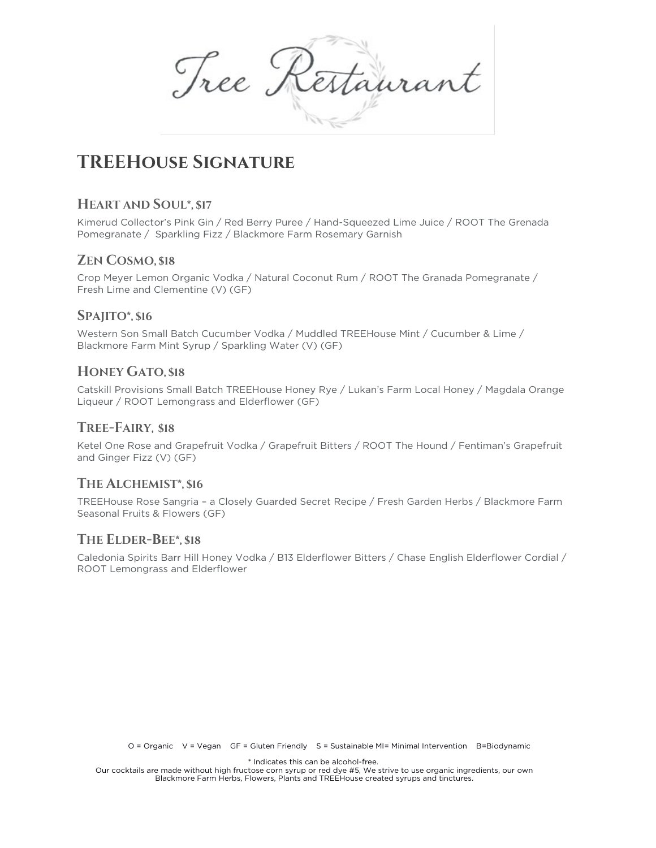Tree Restaurant

## **TREEHouse Signature**

#### **HEART AND SOUL\*, \$17**

Kimerud Collector's Pink Gin / Red Berry Puree / Hand-Squeezed Lime Juice / ROOT The Grenada Pomegranate / Sparkling Fizz / Blackmore Farm Rosemary Garnish

### **ZEN COSMO, \$18**

Crop Meyer Lemon Organic Vodka / Natural Coconut Rum / ROOT The Granada Pomegranate / Fresh Lime and Clementine (V) (GF)

#### **SPAJITO\*, \$16**

Western Son Small Batch Cucumber Vodka / Muddled TREEHouse Mint / Cucumber & Lime / Blackmore Farm Mint Syrup / Sparkling Water (V) (GF)

#### **HONEY GATO, \$18**

Catskill Provisions Small Batch TREEHouse Honey Rye / Lukan's Farm Local Honey / Magdala Orange Liqueur / ROOT Lemongrass and Elderflower (GF)

#### **TREE-FAIRY, \$18**

Ketel One Rose and Grapefruit Vodka / Grapefruit Bitters / ROOT The Hound / Fentiman's Grapefruit and Ginger Fizz (V) (GF)

### **THE ALCHEMIST\*, \$16**

TREEHouse Rose Sangria – a Closely Guarded Secret Recipe / Fresh Garden Herbs / Blackmore Farm Seasonal Fruits & Flowers (GF)

#### **THE ELDER-BEE\*, \$18**

Caledonia Spirits Barr Hill Honey Vodka / B13 Elderflower Bitters / Chase English Elderflower Cordial / ROOT Lemongrass and Elderflower

O = Organic V = Vegan GF = Gluten Friendly S = Sustainable MI= Minimal Intervention B=Biodynamic

\* Indicates this can be alcohol-free.

Our cocktails are made without high fructose corn syrup or red dye #5, We strive to use organic ingredients, our own Blackmore Farm Herbs, Flowers, Plants and TREEHouse created syrups and tinctures.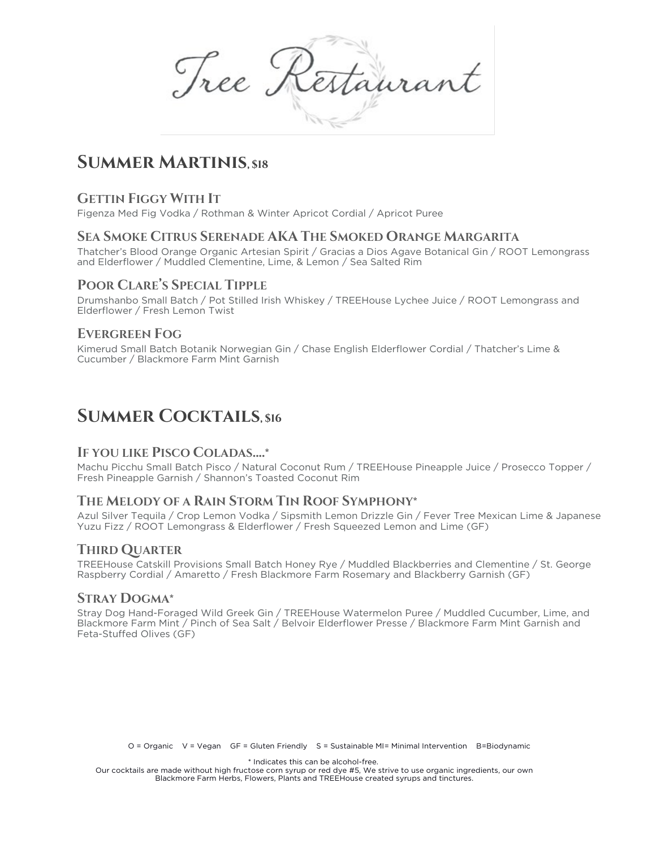Estaurant Tree.

## **Summer Martinis, \$18**

#### **GETTIN FIGGY WITH IT**

Figenza Med Fig Vodka / Rothman & Winter Apricot Cordial / Apricot Puree

#### **SEA SMOKE CITRUS SERENADE AKA THE SMOKED ORANGE MARGARITA**

Thatcher's Blood Orange Organic Artesian Spirit / Gracias a Dios Agave Botanical Gin / ROOT Lemongrass and Elderflower / Muddled Clementine, Lime, & Lemon / Sea Salted Rim

#### **POOR CLARE'S SPECIAL TIPPLE**

Drumshanbo Small Batch / Pot Stilled Irish Whiskey / TREEHouse Lychee Juice / ROOT Lemongrass and Elderflower / Fresh Lemon Twist

#### **EVERGREEN FOG**

Kimerud Small Batch Botanik Norwegian Gin / Chase English Elderflower Cordial / Thatcher's Lime & Cucumber / Blackmore Farm Mint Garnish

## **Summer Cocktails, \$16**

#### **IF YOU LIKE PISCO COLADAS....\***

Machu Picchu Small Batch Pisco / Natural Coconut Rum / TREEHouse Pineapple Juice / Prosecco Topper / Fresh Pineapple Garnish / Shannon's Toasted Coconut Rim

#### **THE MELODY OF A RAIN STORM TIN ROOF SYMPHONY\***

Azul Silver Tequila / Crop Lemon Vodka / Sipsmith Lemon Drizzle Gin / Fever Tree Mexican Lime & Japanese Yuzu Fizz / ROOT Lemongrass & Elderflower / Fresh Squeezed Lemon and Lime (GF)

#### **THIRD QUARTER**

TREEHouse Catskill Provisions Small Batch Honey Rye / Muddled Blackberries and Clementine / St. George Raspberry Cordial / Amaretto / Fresh Blackmore Farm Rosemary and Blackberry Garnish (GF)

#### **STRAY DOGMA\***

Stray Dog Hand-Foraged Wild Greek Gin / TREEHouse Watermelon Puree / Muddled Cucumber, Lime, and Blackmore Farm Mint / Pinch of Sea Salt / Belvoir Elderflower Presse / Blackmore Farm Mint Garnish and Feta-Stuffed Olives (GF)

O = Organic V = Vegan GF = Gluten Friendly S = Sustainable MI= Minimal Intervention B=Biodynamic

\* Indicates this can be alcohol-free.

Our cocktails are made without high fructose corn syrup or red dye #5, We strive to use organic ingredients, our own Blackmore Farm Herbs, Flowers, Plants and TREEHouse created syrups and tinctures.